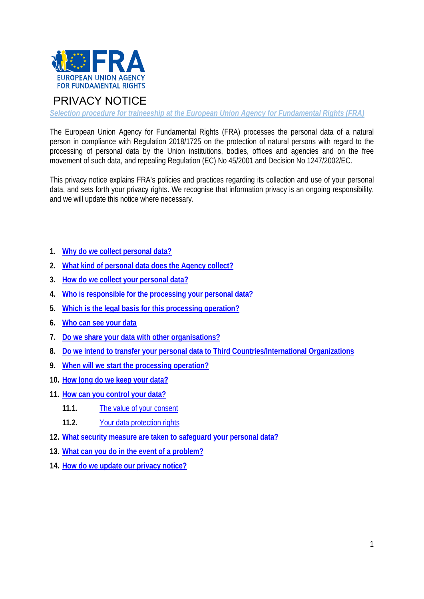

# PRIVACY NOTICE

*Selection procedure for traineeship at the European Union Agency for Fundamental Rights (FRA)* 

The European Union Agency for Fundamental Rights (FRA) processes the personal data of a natural person in compliance with Regulation 2018/1725 on the protection of natural persons with regard to the processing of personal data by the Union institutions, bodies, offices and agencies and on the free movement of such data, and repealing Regulation (EC) No 45/2001 and Decision No 1247/2002/EC.

This privacy notice explains FRA's policies and practices regarding its collection and use of your personal data, and sets forth your privacy rights. We recognise that information privacy is an ongoing responsibility, and we will update this notice where necessary.

- **1. Why do we collect personal data?**
- **2. What kind of personal data does the Agency collect?**
- **3. How do we collect your personal data?**
- **4. Who is responsible for the processing your personal data?**
- **5. Which is the legal basis for this processing operation?**
- **6. Who can see your data**
- **7. Do we share your data with other organisations?**
- **8. Do we intend to transfer your personal data to Third Countries/International Organizations**
- **9. When will we start the processing operation?**
- **10. How long do we keep your data?**
- **11. How can you control your data?**
	- **11.1.** The value of your consent
	- **11.2.** Your data protection rights
- **12. What security measure are taken to safeguard your personal data?**
- **13. What can you do in the event of a problem?**
- **14. How do we update our privacy notice?**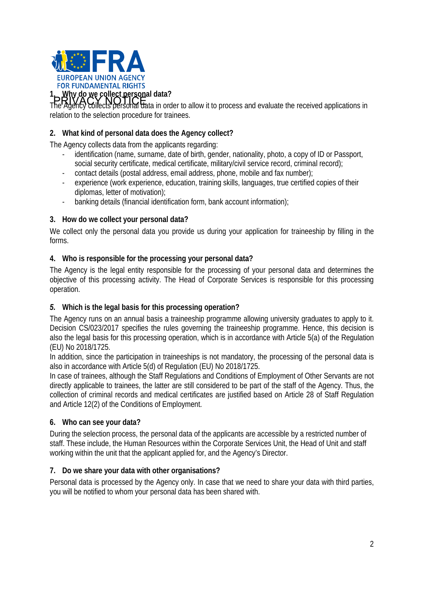

1. Why do we collect personal data?<br>PRIVACY NOTICE<br>The Agency collects personal data in order to allow it to process and evaluate the received applications in relation to the selection procedure for trainees.

## **2. What kind of personal data does the Agency collect?**

The Agency collects data from the applicants regarding:

- identification (name, surname, date of birth, gender, nationality, photo, a copy of ID or Passport, social security certificate, medical certificate, military/civil service record, criminal record);
- contact details (postal address, email address, phone, mobile and fax number);
- experience (work experience, education, training skills, languages, true certified copies of their diplomas, letter of motivation);
- banking details (financial identification form, bank account information);

### **3. How do we collect your personal data?**

We collect only the personal data you provide us during your application for traineeship by filling in the forms.

### **4. Who is responsible for the processing your personal data?**

The Agency is the legal entity responsible for the processing of your personal data and determines the objective of this processing activity. The Head of Corporate Services is responsible for this processing operation.

#### *5.* **Which is the legal basis for this processing operation?**

The Agency runs on an annual basis a traineeship programme allowing university graduates to apply to it. Decision CS/023/2017 specifies the rules governing the traineeship programme. Hence, this decision is also the legal basis for this processing operation, which is in accordance with Article 5(a) of the Regulation (EU) No 2018/1725.

In addition, since the participation in traineeships is not mandatory, the processing of the personal data is also in accordance with Article 5(d) of Regulation (EU) No 2018/1725.

In case of trainees, although the Staff Regulations and Conditions of Employment of Other Servants are not directly applicable to trainees, the latter are still considered to be part of the staff of the Agency. Thus, the collection of criminal records and medical certificates are justified based on Article 28 of Staff Regulation and Article 12(2) of the Conditions of Employment.

#### **6. Who can see your data?**

During the selection process, the personal data of the applicants are accessible by a restricted number of staff. These include, the Human Resources within the Corporate Services Unit, the Head of Unit and staff working within the unit that the applicant applied for, and the Agency's Director.

#### **7. Do we share your data with other organisations?**

Personal data is processed by the Agency only. In case that we need to share your data with third parties, you will be notified to whom your personal data has been shared with.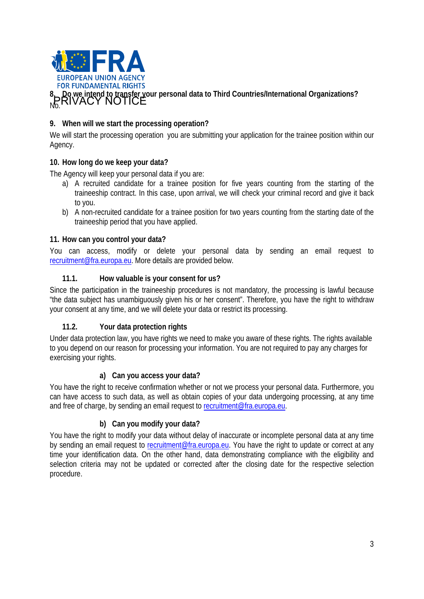

## **9. When will we start the processing operation?**

We will start the processing operation you are submitting your application for the trainee position within our Agency.

## **10. How long do we keep your data?**

The Agency will keep your personal data if you are:

- a) A recruited candidate for a trainee position for five years counting from the starting of the traineeship contract. In this case, upon arrival, we will check your criminal record and give it back to you.
- b) A non-recruited candidate for a trainee position for two years counting from the starting date of the traineeship period that you have applied.

### **11. How can you control your data?**

You can access, modify or delete your personal data by sending an email request to recruitment@fra.europa.eu. More details are provided below.

### **11.1. How valuable is your consent for us?**

Since the participation in the traineeship procedures is not mandatory, the processing is lawful because "the data subject has unambiguously given his or her consent". Therefore, you have the right to withdraw your consent at any time, and we will delete your data or restrict its processing.

## **11.2. Your data protection rights**

Under data protection law, you have rights we need to make you aware of these rights. The rights available to you depend on our reason for processing your information. You are not required to pay any charges for exercising your rights.

#### **a) Can you access your data?**

You have the right to receive confirmation whether or not we process your personal data. Furthermore, you can have access to such data, as well as obtain copies of your data undergoing processing, at any time and free of charge, by sending an email request to recruitment@fra.europa.eu.

## **b) Can you modify your data?**

You have the right to modify your data without delay of inaccurate or incomplete personal data at any time by sending an email request to recruitment@fra.europa.eu. You have the right to update or correct at any time your identification data. On the other hand, data demonstrating compliance with the eligibility and selection criteria may not be updated or corrected after the closing date for the respective selection procedure.